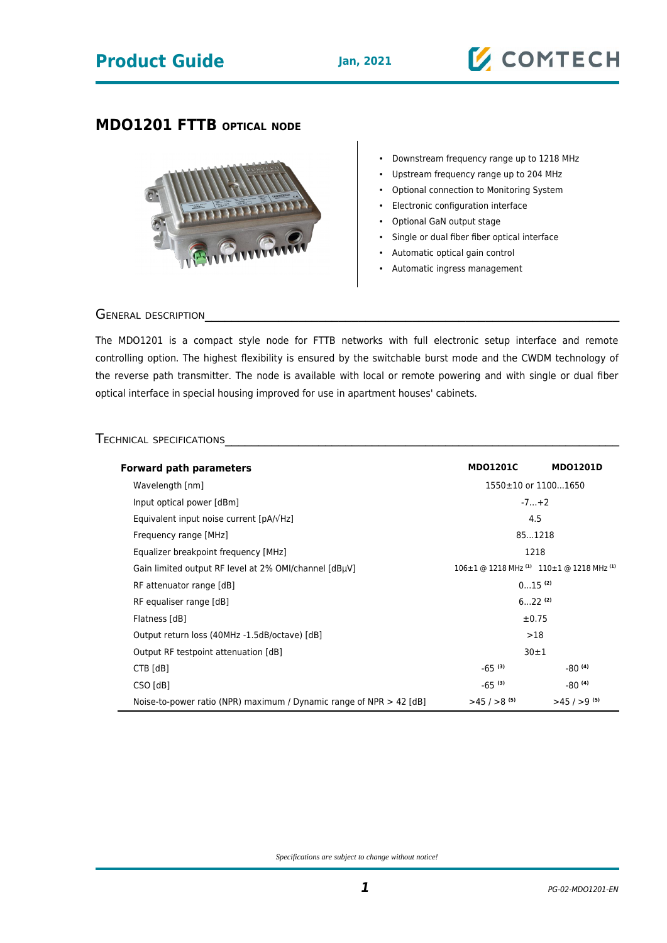## **Product Guide Jan, 2021**

# **Z COMTECH**

### **MDO1201 FTTB OPTICAL NODE**



- Downstream frequency range up to 1218 MHz
- Upstream frequency range up to 204 MHz
- Optional connection to Monitoring System
- Electronic configuration interface
- Optional GaN output stage
- Single or dual fiber fiber optical interface
- Automatic optical gain control
- Automatic ingress management

#### GENERAL DESCRIPTION

The MDO1201 is a compact style node for FTTB networks with full electronic setup interface and remote controlling option. The highest flexibility is ensured by the switchable burst mode and the CWDM technology of the reverse path transmitter. The node is available with local or remote powering and with single or dual fiber optical interface in special housing improved for use in apartment houses' cabinets.

#### TECHNICAL SPECIFICATIONS

| <b>Forward path parameters</b>                                        | <b>MDO1201C</b>                                                 | <b>MDO1201D</b>         |
|-----------------------------------------------------------------------|-----------------------------------------------------------------|-------------------------|
| Wavelength [nm]                                                       | 1550±10 or 11001650                                             |                         |
| Input optical power [dBm]                                             | $-7+2$                                                          |                         |
| Equivalent input noise current $[pA/\sqrt{Hz}]$                       | 4.5                                                             |                         |
| Frequency range [MHz]                                                 | 851218                                                          |                         |
| Equalizer breakpoint frequency [MHz]                                  | 1218                                                            |                         |
| Gain limited output RF level at 2% OMI/channel [dBµV]                 | 106±1 @ 1218 MHz <sup>(1)</sup> 110±1 @ 1218 MHz <sup>(1)</sup> |                         |
| RF attenuator range [dB]                                              | $015$ <sup>(2)</sup>                                            |                         |
| RF equaliser range [dB]                                               | $622^{(2)}$                                                     |                         |
| Flatness [dB]                                                         | $\pm 0.75$                                                      |                         |
| Output return loss (40MHz -1.5dB/octave) [dB]                         | >18                                                             |                         |
| Output RF testpoint attenuation [dB]                                  | 30±1                                                            |                         |
| CTB [dB]                                                              | $-65^{(3)}$                                                     | $-80^{(4)}$             |
| CSO [dB]                                                              | $-65^{(3)}$                                                     | $-80^{(4)}$             |
| Noise-to-power ratio (NPR) maximum / Dynamic range of NPR $> 42$ [dB] | $>45/>8$ <sup>(5)</sup>                                         | $>45/59$ <sup>(5)</sup> |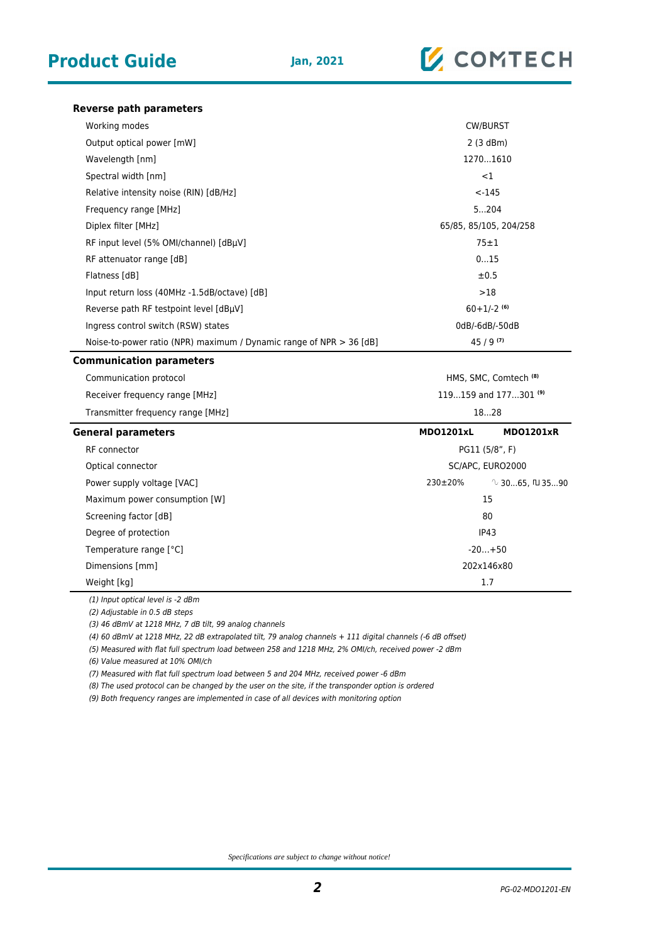

**Reverse path parameters**

| Working modes                                                       | <b>CW/BURST</b>                  |                             |
|---------------------------------------------------------------------|----------------------------------|-----------------------------|
| Output optical power [mW]                                           | 2(3 dBm)                         |                             |
| Wavelength [nm]                                                     | 12701610                         |                             |
| Spectral width [nm]                                                 | ${<}1$                           |                             |
| Relative intensity noise (RIN) [dB/Hz]                              | $< -145$                         |                             |
| Frequency range [MHz]                                               | 5204                             |                             |
| Diplex filter [MHz]                                                 | 65/85, 85/105, 204/258           |                             |
| RF input level (5% OMI/channel) [dBµV]                              | $75 \pm 1$                       |                             |
| RF attenuator range [dB]                                            | 015                              |                             |
| Flatness [dB]                                                       | ±0.5                             |                             |
| Input return loss (40MHz -1.5dB/octave) [dB]                        | >18                              |                             |
| Reverse path RF testpoint level [dBµV]                              | $60+1/-2$ <sup>(6)</sup>         |                             |
| Ingress control switch (RSW) states                                 | 0dB/-6dB/-50dB                   |                             |
| Noise-to-power ratio (NPR) maximum / Dynamic range of NPR > 36 [dB] | $45/9^{(7)}$                     |                             |
| <b>Communication parameters</b>                                     |                                  |                             |
| Communication protocol                                              | HMS, SMC, Comtech <sup>(8)</sup> |                             |
| Receiver frequency range [MHz]                                      | 119159 and 177301 <sup>(9)</sup> |                             |
| Transmitter frequency range [MHz]                                   | 1828                             |                             |
| <b>General parameters</b>                                           | <b>MD01201xL</b>                 | MD01201xR                   |
| <b>RF</b> connector                                                 | PG11 (5/8", F)                   |                             |
| Optical connector                                                   | SC/APC, EURO2000                 |                             |
| Power supply voltage [VAC]                                          | 230±20%                          | $\sqrt{3065}$ , $\Box$ 3590 |
| Maximum power consumption [W]                                       | 15                               |                             |
| Screening factor [dB]                                               | 80                               |                             |
| Degree of protection                                                | IP43                             |                             |
| Temperature range [°C]                                              | $-20+50$                         |                             |
| Dimensions [mm]                                                     | 202x146x80                       |                             |
| Weight [kg]                                                         | 1.7                              |                             |
|                                                                     |                                  |                             |

(1) Input optical level is -2 dBm

(2) Adjustable in 0.5 dB steps

(3) 46 dBmV at 1218 MHz, 7 dB tilt, 99 analog channels

(4) 60 dBmV at 1218 MHz, 22 dB extrapolated tilt, 79 analog channels + 111 digital channels (-6 dB offset)

(5) Measured with flat full spectrum load between 258 and 1218 MHz, 2% OMI/ch, received power -2 dBm

(6) Value measured at 10% OMI/ch

(7) Measured with flat full spectrum load between 5 and 204 MHz, received power -6 dBm

(8) The used protocol can be changed by the user on the site, if the transponder option is ordered

(9) Both frequency ranges are implemented in case of all devices with monitoring option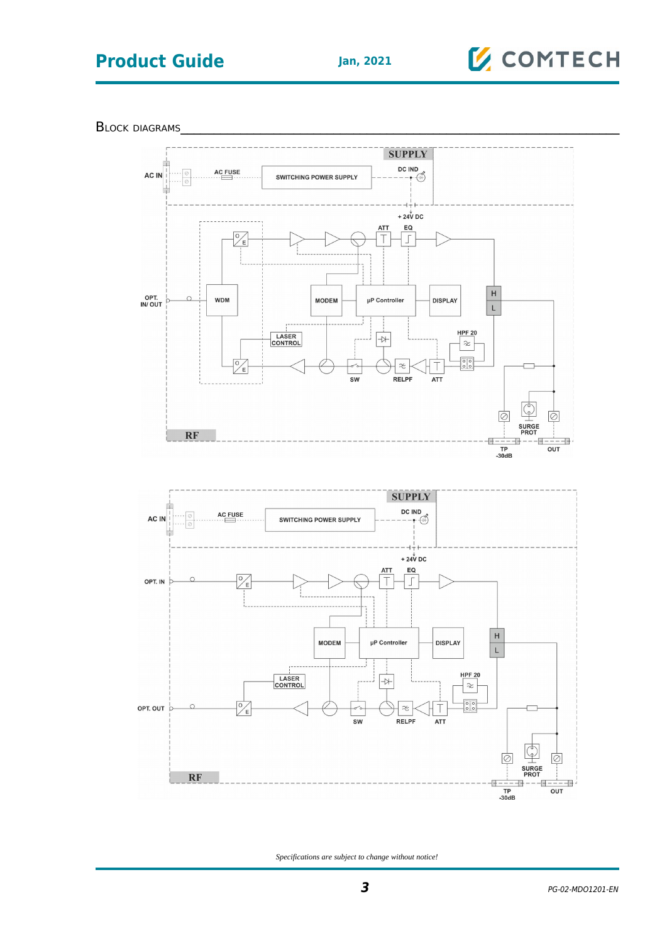# **Product Guide Jan, 2021**



BLOCK DIAGRAMS



*Specifications are subject to change without notice!*